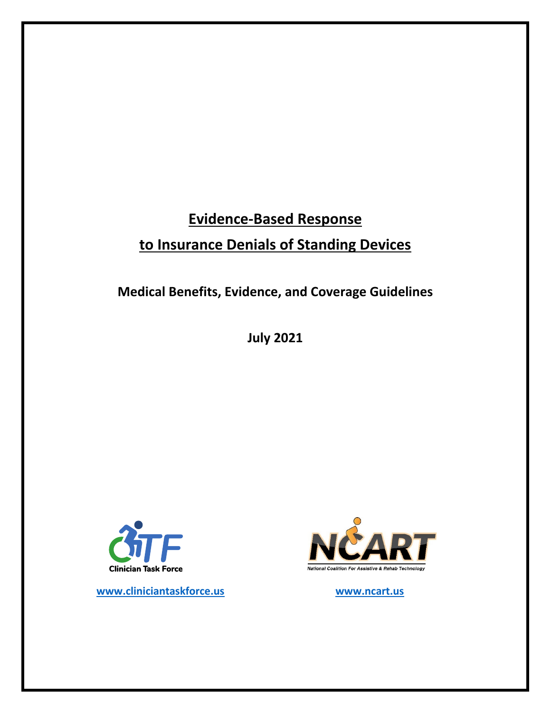# **Evidence‐Based Response to Insurance Denials of Standing Devices**

**Medical Benefits, Evidence, and Coverage Guidelines** 

**July 2021**



 **www.cliniciantaskforce.us www.ncart.us** 

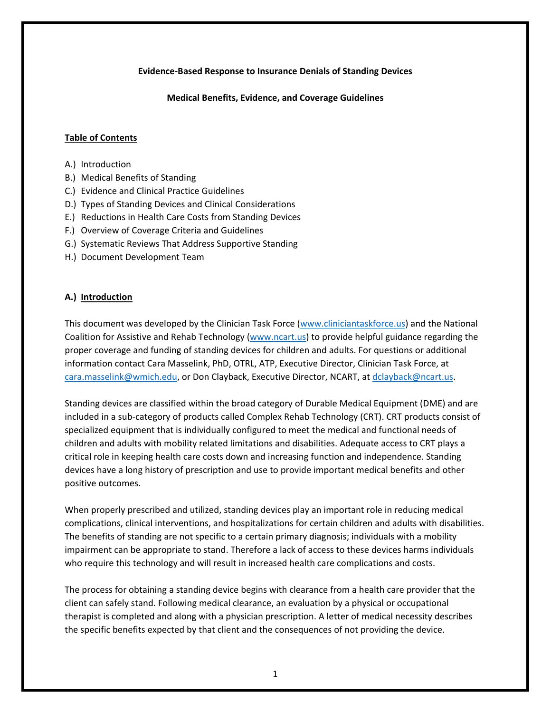#### **Evidence‐Based Response to Insurance Denials of Standing Devices**

**Medical Benefits, Evidence, and Coverage Guidelines** 

#### **Table of Contents**

- A.) Introduction
- B.) Medical Benefits of Standing
- C.) Evidence and Clinical Practice Guidelines
- D.) Types of Standing Devices and Clinical Considerations
- E.) Reductions in Health Care Costs from Standing Devices
- F.) Overview of Coverage Criteria and Guidelines
- G.) Systematic Reviews That Address Supportive Standing
- H.) Document Development Team

## **A.) Introduction**

This document was developed by the Clinician Task Force (www.cliniciantaskforce.us) and the National Coalition for Assistive and Rehab Technology (www.ncart.us) to provide helpful guidance regarding the proper coverage and funding of standing devices for children and adults. For questions or additional information contact Cara Masselink, PhD, OTRL, ATP, Executive Director, Clinician Task Force, at cara.masselink@wmich.edu, or Don Clayback, Executive Director, NCART, at dclayback@ncart.us.

Standing devices are classified within the broad category of Durable Medical Equipment (DME) and are included in a sub‐category of products called Complex Rehab Technology (CRT). CRT products consist of specialized equipment that is individually configured to meet the medical and functional needs of children and adults with mobility related limitations and disabilities. Adequate access to CRT plays a critical role in keeping health care costs down and increasing function and independence. Standing devices have a long history of prescription and use to provide important medical benefits and other positive outcomes.

When properly prescribed and utilized, standing devices play an important role in reducing medical complications, clinical interventions, and hospitalizations for certain children and adults with disabilities. The benefits of standing are not specific to a certain primary diagnosis; individuals with a mobility impairment can be appropriate to stand. Therefore a lack of access to these devices harms individuals who require this technology and will result in increased health care complications and costs.

The process for obtaining a standing device begins with clearance from a health care provider that the client can safely stand. Following medical clearance, an evaluation by a physical or occupational therapist is completed and along with a physician prescription. A letter of medical necessity describes the specific benefits expected by that client and the consequences of not providing the device.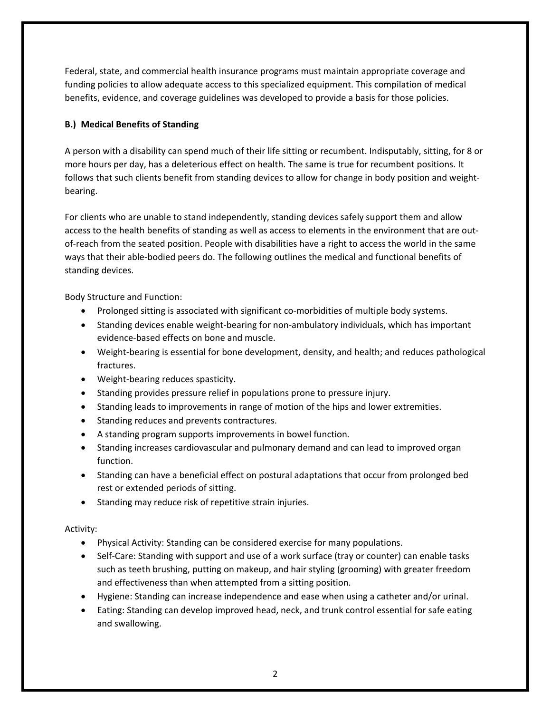Federal, state, and commercial health insurance programs must maintain appropriate coverage and funding policies to allow adequate access to this specialized equipment. This compilation of medical benefits, evidence, and coverage guidelines was developed to provide a basis for those policies.

## **B.) Medical Benefits of Standing**

A person with a disability can spend much of their life sitting or recumbent. Indisputably, sitting, for 8 or more hours per day, has a deleterious effect on health. The same is true for recumbent positions. It follows that such clients benefit from standing devices to allow for change in body position and weight‐ bearing.

For clients who are unable to stand independently, standing devices safely support them and allow access to the health benefits of standing as well as access to elements in the environment that are out‐ of-reach from the seated position. People with disabilities have a right to access the world in the same ways that their able‐bodied peers do. The following outlines the medical and functional benefits of standing devices.

Body Structure and Function:

- Prolonged sitting is associated with significant co-morbidities of multiple body systems.
- Standing devices enable weight-bearing for non-ambulatory individuals, which has important evidence‐based effects on bone and muscle.
- Weight-bearing is essential for bone development, density, and health; and reduces pathological fractures.
- Weight-bearing reduces spasticity.
- Standing provides pressure relief in populations prone to pressure injury.
- Standing leads to improvements in range of motion of the hips and lower extremities.
- Standing reduces and prevents contractures.
- A standing program supports improvements in bowel function.
- Standing increases cardiovascular and pulmonary demand and can lead to improved organ function.
- Standing can have a beneficial effect on postural adaptations that occur from prolonged bed rest or extended periods of sitting.
- Standing may reduce risk of repetitive strain injuries.

## Activity:

- Physical Activity: Standing can be considered exercise for many populations.
- Self-Care: Standing with support and use of a work surface (tray or counter) can enable tasks such as teeth brushing, putting on makeup, and hair styling (grooming) with greater freedom and effectiveness than when attempted from a sitting position.
- Hygiene: Standing can increase independence and ease when using a catheter and/or urinal.
- Eating: Standing can develop improved head, neck, and trunk control essential for safe eating and swallowing.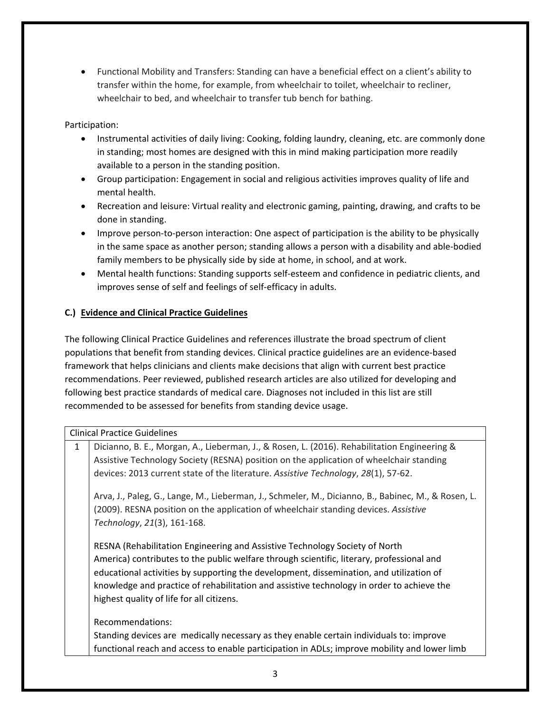Functional Mobility and Transfers: Standing can have a beneficial effect on a client's ability to transfer within the home, for example, from wheelchair to toilet, wheelchair to recliner, wheelchair to bed, and wheelchair to transfer tub bench for bathing.

Participation:

- Instrumental activities of daily living: Cooking, folding laundry, cleaning, etc. are commonly done in standing; most homes are designed with this in mind making participation more readily available to a person in the standing position.
- Group participation: Engagement in social and religious activities improves quality of life and mental health.
- Recreation and leisure: Virtual reality and electronic gaming, painting, drawing, and crafts to be done in standing.
- Improve person-to-person interaction: One aspect of participation is the ability to be physically in the same space as another person; standing allows a person with a disability and able‐bodied family members to be physically side by side at home, in school, and at work.
- Mental health functions: Standing supports self‐esteem and confidence in pediatric clients, and improves sense of self and feelings of self-efficacy in adults.

# **C.) Evidence and Clinical Practice Guidelines**

The following Clinical Practice Guidelines and references illustrate the broad spectrum of client populations that benefit from standing devices. Clinical practice guidelines are an evidence‐based framework that helps clinicians and clients make decisions that align with current best practice recommendations. Peer reviewed, published research articles are also utilized for developing and following best practice standards of medical care. Diagnoses not included in this list are still recommended to be assessed for benefits from standing device usage.

| <b>Clinical Practice Guidelines</b> |                                                                                                     |  |  |
|-------------------------------------|-----------------------------------------------------------------------------------------------------|--|--|
| $\mathbf{1}$                        | Dicianno, B. E., Morgan, A., Lieberman, J., & Rosen, L. (2016). Rehabilitation Engineering &        |  |  |
|                                     | Assistive Technology Society (RESNA) position on the application of wheelchair standing             |  |  |
|                                     | devices: 2013 current state of the literature. Assistive Technology, 28(1), 57-62.                  |  |  |
|                                     | Arva, J., Paleg, G., Lange, M., Lieberman, J., Schmeler, M., Dicianno, B., Babinec, M., & Rosen, L. |  |  |
|                                     | (2009). RESNA position on the application of wheelchair standing devices. Assistive                 |  |  |
|                                     | Technology, 21(3), 161-168.                                                                         |  |  |
|                                     | RESNA (Rehabilitation Engineering and Assistive Technology Society of North                         |  |  |
|                                     | America) contributes to the public welfare through scientific, literary, professional and           |  |  |
|                                     | educational activities by supporting the development, dissemination, and utilization of             |  |  |
|                                     | knowledge and practice of rehabilitation and assistive technology in order to achieve the           |  |  |
|                                     | highest quality of life for all citizens.                                                           |  |  |
|                                     | Recommendations:                                                                                    |  |  |
|                                     | Standing devices are medically necessary as they enable certain individuals to: improve             |  |  |
|                                     | functional reach and access to enable participation in ADLs; improve mobility and lower limb        |  |  |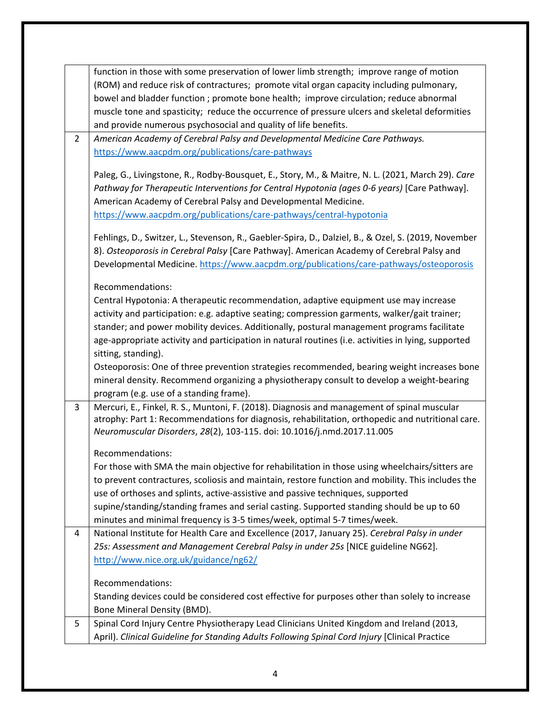|                | function in those with some preservation of lower limb strength; improve range of motion<br>(ROM) and reduce risk of contractures; promote vital organ capacity including pulmonary,<br>bowel and bladder function ; promote bone health; improve circulation; reduce abnormal<br>muscle tone and spasticity; reduce the occurrence of pressure ulcers and skeletal deformities<br>and provide numerous psychosocial and quality of life benefits. |
|----------------|----------------------------------------------------------------------------------------------------------------------------------------------------------------------------------------------------------------------------------------------------------------------------------------------------------------------------------------------------------------------------------------------------------------------------------------------------|
| $\overline{2}$ | American Academy of Cerebral Palsy and Developmental Medicine Care Pathways.<br>https://www.aacpdm.org/publications/care-pathways                                                                                                                                                                                                                                                                                                                  |
|                | Paleg, G., Livingstone, R., Rodby-Bousquet, E., Story, M., & Maitre, N. L. (2021, March 29). Care<br>Pathway for Therapeutic Interventions for Central Hypotonia (ages 0-6 years) [Care Pathway].<br>American Academy of Cerebral Palsy and Developmental Medicine.<br>https://www.aacpdm.org/publications/care-pathways/central-hypotonia                                                                                                         |
|                | Fehlings, D., Switzer, L., Stevenson, R., Gaebler-Spira, D., Dalziel, B., & Ozel, S. (2019, November<br>8). Osteoporosis in Cerebral Palsy [Care Pathway]. American Academy of Cerebral Palsy and<br>Developmental Medicine. https://www.aacpdm.org/publications/care-pathways/osteoporosis                                                                                                                                                        |
|                | Recommendations:<br>Central Hypotonia: A therapeutic recommendation, adaptive equipment use may increase<br>activity and participation: e.g. adaptive seating; compression garments, walker/gait trainer;<br>stander; and power mobility devices. Additionally, postural management programs facilitate<br>age-appropriate activity and participation in natural routines (i.e. activities in lying, supported<br>sitting, standing).              |
|                | Osteoporosis: One of three prevention strategies recommended, bearing weight increases bone<br>mineral density. Recommend organizing a physiotherapy consult to develop a weight-bearing<br>program (e.g. use of a standing frame).                                                                                                                                                                                                                |
| 3              | Mercuri, E., Finkel, R. S., Muntoni, F. (2018). Diagnosis and management of spinal muscular<br>atrophy: Part 1: Recommendations for diagnosis, rehabilitation, orthopedic and nutritional care.<br>Neuromuscular Disorders, 28(2), 103-115. doi: 10.1016/j.nmd.2017.11.005                                                                                                                                                                         |
|                | Recommendations:<br>For those with SMA the main objective for rehabilitation in those using wheelchairs/sitters are<br>to prevent contractures, scoliosis and maintain, restore function and mobility. This includes the<br>use of orthoses and splints, active-assistive and passive techniques, supported<br>supine/standing/standing frames and serial casting. Supported standing should be up to 60                                           |
| 4              | minutes and minimal frequency is 3-5 times/week, optimal 5-7 times/week.<br>National Institute for Health Care and Excellence (2017, January 25). Cerebral Palsy in under                                                                                                                                                                                                                                                                          |
|                | 25s: Assessment and Management Cerebral Palsy in under 25s [NICE guideline NG62].<br>http://www.nice.org.uk/guidance/ng62/                                                                                                                                                                                                                                                                                                                         |
|                | Recommendations:<br>Standing devices could be considered cost effective for purposes other than solely to increase<br>Bone Mineral Density (BMD).                                                                                                                                                                                                                                                                                                  |
| 5              | Spinal Cord Injury Centre Physiotherapy Lead Clinicians United Kingdom and Ireland (2013,<br>April). Clinical Guideline for Standing Adults Following Spinal Cord Injury [Clinical Practice                                                                                                                                                                                                                                                        |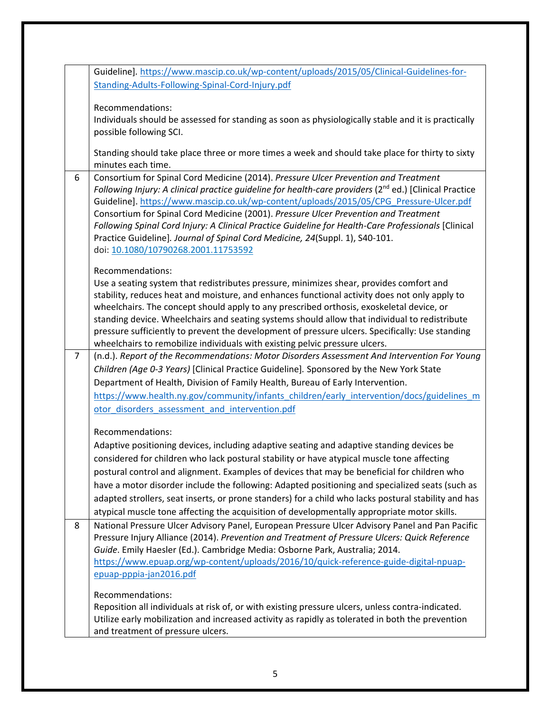|                | Standing-Adults-Following-Spinal-Cord-Injury.pdf                                                                                                                                                                                                                                                                                                                                                                                                                                                                                                                        |
|----------------|-------------------------------------------------------------------------------------------------------------------------------------------------------------------------------------------------------------------------------------------------------------------------------------------------------------------------------------------------------------------------------------------------------------------------------------------------------------------------------------------------------------------------------------------------------------------------|
|                | Recommendations:<br>Individuals should be assessed for standing as soon as physiologically stable and it is practically<br>possible following SCI.                                                                                                                                                                                                                                                                                                                                                                                                                      |
|                | Standing should take place three or more times a week and should take place for thirty to sixty<br>minutes each time.                                                                                                                                                                                                                                                                                                                                                                                                                                                   |
| 6              | Consortium for Spinal Cord Medicine (2014). Pressure Ulcer Prevention and Treatment<br>Following Injury: A clinical practice guideline for health-care providers (2 <sup>nd</sup> ed.) [Clinical Practice<br>Guideline]. https://www.mascip.co.uk/wp-content/uploads/2015/05/CPG Pressure-Ulcer.pdf                                                                                                                                                                                                                                                                     |
|                | Consortium for Spinal Cord Medicine (2001). Pressure Ulcer Prevention and Treatment<br>Following Spinal Cord Injury: A Clinical Practice Guideline for Health-Care Professionals [Clinical<br>Practice Guideline]. Journal of Spinal Cord Medicine, 24(Suppl. 1), S40-101.<br>doi: 10.1080/10790268.2001.11753592                                                                                                                                                                                                                                                       |
|                | Recommendations:                                                                                                                                                                                                                                                                                                                                                                                                                                                                                                                                                        |
|                | Use a seating system that redistributes pressure, minimizes shear, provides comfort and<br>stability, reduces heat and moisture, and enhances functional activity does not only apply to<br>wheelchairs. The concept should apply to any prescribed orthosis, exoskeletal device, or<br>standing device. Wheelchairs and seating systems should allow that individual to redistribute<br>pressure sufficiently to prevent the development of pressure ulcers. Specifically: Use standing<br>wheelchairs to remobilize individuals with existing pelvic pressure ulcers. |
| $\overline{7}$ | (n.d.). Report of the Recommendations: Motor Disorders Assessment And Intervention For Young                                                                                                                                                                                                                                                                                                                                                                                                                                                                            |
|                | Children (Age 0-3 Years) [Clinical Practice Guideline]. Sponsored by the New York State                                                                                                                                                                                                                                                                                                                                                                                                                                                                                 |
|                | Department of Health, Division of Family Health, Bureau of Early Intervention.                                                                                                                                                                                                                                                                                                                                                                                                                                                                                          |
|                | https://www.health.ny.gov/community/infants children/early intervention/docs/guidelines m                                                                                                                                                                                                                                                                                                                                                                                                                                                                               |
|                | otor_disorders_assessment_and_intervention.pdf                                                                                                                                                                                                                                                                                                                                                                                                                                                                                                                          |
|                | Recommendations:                                                                                                                                                                                                                                                                                                                                                                                                                                                                                                                                                        |
|                | Adaptive positioning devices, including adaptive seating and adaptive standing devices be<br>considered for children who lack postural stability or have atypical muscle tone affecting                                                                                                                                                                                                                                                                                                                                                                                 |
|                | postural control and alignment. Examples of devices that may be beneficial for children who                                                                                                                                                                                                                                                                                                                                                                                                                                                                             |
|                | have a motor disorder include the following: Adapted positioning and specialized seats (such as<br>adapted strollers, seat inserts, or prone standers) for a child who lacks postural stability and has<br>atypical muscle tone affecting the acquisition of developmentally appropriate motor skills.                                                                                                                                                                                                                                                                  |
| 8              | National Pressure Ulcer Advisory Panel, European Pressure Ulcer Advisory Panel and Pan Pacific<br>Pressure Injury Alliance (2014). Prevention and Treatment of Pressure Ulcers: Quick Reference<br>Guide. Emily Haesler (Ed.). Cambridge Media: Osborne Park, Australia; 2014.<br>https://www.epuap.org/wp-content/uploads/2016/10/quick-reference-guide-digital-npuap-<br>epuap-pppia-jan2016.pdf                                                                                                                                                                      |
|                | Recommendations:<br>Reposition all individuals at risk of, or with existing pressure ulcers, unless contra-indicated.                                                                                                                                                                                                                                                                                                                                                                                                                                                   |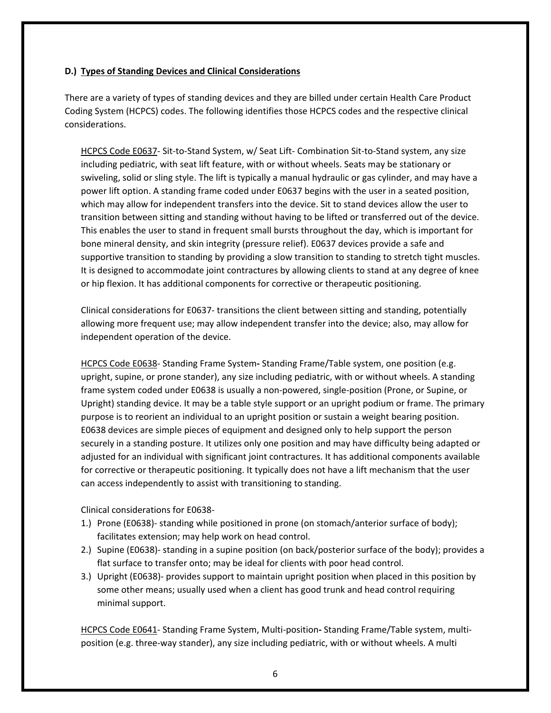## **D.) Types of Standing Devices and Clinical Considerations**

There are a variety of types of standing devices and they are billed under certain Health Care Product Coding System (HCPCS) codes. The following identifies those HCPCS codes and the respective clinical considerations.

HCPCS Code E0637‐ Sit‐to‐Stand System, w/ Seat Lift‐ Combination Sit‐to‐Stand system, any size including pediatric, with seat lift feature, with or without wheels. Seats may be stationary or swiveling, solid or sling style. The lift is typically a manual hydraulic or gas cylinder, and may have a power lift option. A standing frame coded under E0637 begins with the user in a seated position, which may allow for independent transfers into the device. Sit to stand devices allow the user to transition between sitting and standing without having to be lifted or transferred out of the device. This enables the user to stand in frequent small bursts throughout the day, which is important for bone mineral density, and skin integrity (pressure relief). E0637 devices provide a safe and supportive transition to standing by providing a slow transition to standing to stretch tight muscles. It is designed to accommodate joint contractures by allowing clients to stand at any degree of knee or hip flexion. It has additional components for corrective or therapeutic positioning.

Clinical considerations for E0637‐ transitions the client between sitting and standing, potentially allowing more frequent use; may allow independent transfer into the device; also, may allow for independent operation of the device.

HCPCS Code E0638‐ Standing Frame System**‐** Standing Frame/Table system, one position (e.g. upright, supine, or prone stander), any size including pediatric, with or without wheels. A standing frame system coded under E0638 is usually a non‐powered, single‐position (Prone, or Supine, or Upright) standing device. It may be a table style support or an upright podium or frame. The primary purpose is to reorient an individual to an upright position or sustain a weight bearing position. E0638 devices are simple pieces of equipment and designed only to help support the person securely in a standing posture. It utilizes only one position and may have difficulty being adapted or adjusted for an individual with significant joint contractures. It has additional components available for corrective or therapeutic positioning. It typically does not have a lift mechanism that the user can access independently to assist with transitioning to standing.

Clinical considerations for E0638‐

- 1.) Prone (E0638)‐ standing while positioned in prone (on stomach/anterior surface of body); facilitates extension; may help work on head control.
- 2.) Supine (E0638)- standing in a supine position (on back/posterior surface of the body); provides a flat surface to transfer onto; may be ideal for clients with poor head control.
- 3.) Upright (E0638)‐ provides support to maintain upright position when placed in this position by some other means; usually used when a client has good trunk and head control requiring minimal support.

HCPCS Code E0641‐ Standing Frame System, Multi‐position**‐** Standing Frame/Table system, multi‐ position (e.g. three‐way stander), any size including pediatric, with or without wheels. A multi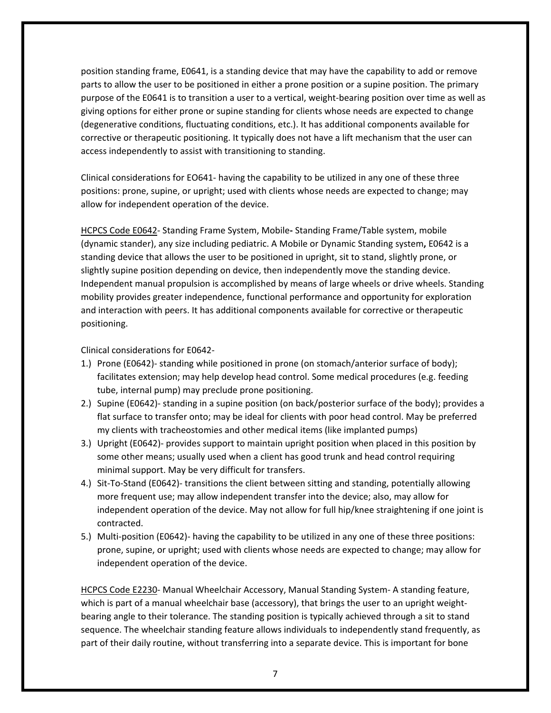position standing frame, E0641, is a standing device that may have the capability to add or remove parts to allow the user to be positioned in either a prone position or a supine position. The primary purpose of the E0641 is to transition a user to a vertical, weight‐bearing position over time as well as giving options for either prone or supine standing for clients whose needs are expected to change (degenerative conditions, fluctuating conditions, etc.). It has additional components available for corrective or therapeutic positioning. It typically does not have a lift mechanism that the user can access independently to assist with transitioning to standing.

Clinical considerations for EO641‐ having the capability to be utilized in any one of these three positions: prone, supine, or upright; used with clients whose needs are expected to change; may allow for independent operation of the device.

HCPCS Code E0642‐ Standing Frame System, Mobile**‐** Standing Frame/Table system, mobile (dynamic stander), any size including pediatric. A Mobile or Dynamic Standing system**,** E0642 is a standing device that allows the user to be positioned in upright, sit to stand, slightly prone, or slightly supine position depending on device, then independently move the standing device. Independent manual propulsion is accomplished by means of large wheels or drive wheels. Standing mobility provides greater independence, functional performance and opportunity for exploration and interaction with peers. It has additional components available for corrective or therapeutic positioning.

Clinical considerations for E0642‐

- 1.) Prone (E0642)‐ standing while positioned in prone (on stomach/anterior surface of body); facilitates extension; may help develop head control. Some medical procedures (e.g. feeding tube, internal pump) may preclude prone positioning.
- 2.) Supine (E0642)‐ standing in a supine position (on back/posterior surface of the body); provides a flat surface to transfer onto; may be ideal for clients with poor head control. May be preferred my clients with tracheostomies and other medical items (like implanted pumps)
- 3.) Upright (E0642)‐ provides support to maintain upright position when placed in this position by some other means; usually used when a client has good trunk and head control requiring minimal support. May be very difficult for transfers.
- 4.) Sit-To-Stand (E0642)- transitions the client between sitting and standing, potentially allowing more frequent use; may allow independent transfer into the device; also, may allow for independent operation of the device. May not allow for full hip/knee straightening if one joint is contracted.
- 5.) Multi-position (E0642)- having the capability to be utilized in any one of these three positions: prone, supine, or upright; used with clients whose needs are expected to change; may allow for independent operation of the device.

HCPCS Code E2230- Manual Wheelchair Accessory, Manual Standing System- A standing feature, which is part of a manual wheelchair base (accessory), that brings the user to an upright weightbearing angle to their tolerance. The standing position is typically achieved through a sit to stand sequence. The wheelchair standing feature allows individuals to independently stand frequently, as part of their daily routine, without transferring into a separate device. This is important for bone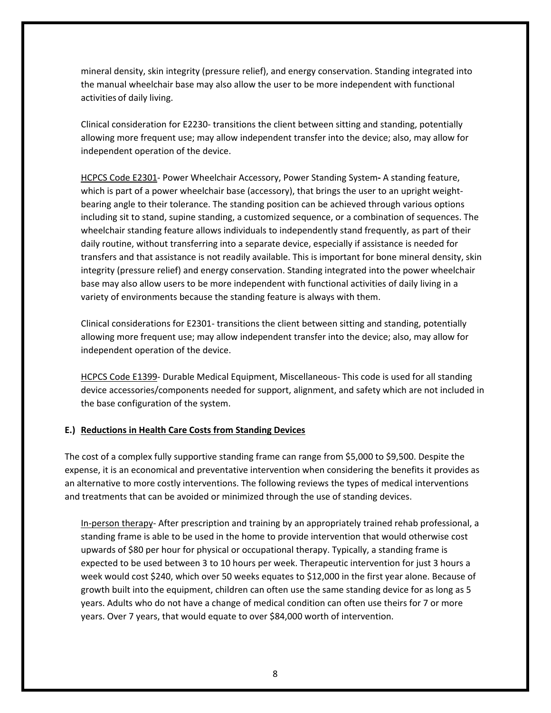mineral density, skin integrity (pressure relief), and energy conservation. Standing integrated into the manual wheelchair base may also allow the user to be more independent with functional activities of daily living.

Clinical consideration for E2230‐ transitions the client between sitting and standing, potentially allowing more frequent use; may allow independent transfer into the device; also, may allow for independent operation of the device.

HCPCS Code E2301‐ Power Wheelchair Accessory, Power Standing System**‐** A standing feature, which is part of a power wheelchair base (accessory), that brings the user to an upright weightbearing angle to their tolerance. The standing position can be achieved through various options including sit to stand, supine standing, a customized sequence, or a combination of sequences. The wheelchair standing feature allows individuals to independently stand frequently, as part of their daily routine, without transferring into a separate device, especially if assistance is needed for transfers and that assistance is not readily available. This is important for bone mineral density, skin integrity (pressure relief) and energy conservation. Standing integrated into the power wheelchair base may also allow users to be more independent with functional activities of daily living in a variety of environments because the standing feature is always with them.

Clinical considerations for E2301‐ transitions the client between sitting and standing, potentially allowing more frequent use; may allow independent transfer into the device; also, may allow for independent operation of the device.

HCPCS Code E1399‐ Durable Medical Equipment, Miscellaneous‐ This code is used for all standing device accessories/components needed for support, alignment, and safety which are not included in the base configuration of the system.

#### **E.) Reductions in Health Care Costs from Standing Devices**

The cost of a complex fully supportive standing frame can range from \$5,000 to \$9,500. Despite the expense, it is an economical and preventative intervention when considering the benefits it provides as an alternative to more costly interventions. The following reviews the types of medical interventions and treatments that can be avoided or minimized through the use of standing devices.

In-person therapy- After prescription and training by an appropriately trained rehab professional, a standing frame is able to be used in the home to provide intervention that would otherwise cost upwards of \$80 per hour for physical or occupational therapy. Typically, a standing frame is expected to be used between 3 to 10 hours per week. Therapeutic intervention for just 3 hours a week would cost \$240, which over 50 weeks equates to \$12,000 in the first year alone. Because of growth built into the equipment, children can often use the same standing device for as long as 5 years. Adults who do not have a change of medical condition can often use theirs for 7 or more years. Over 7 years, that would equate to over \$84,000 worth of intervention.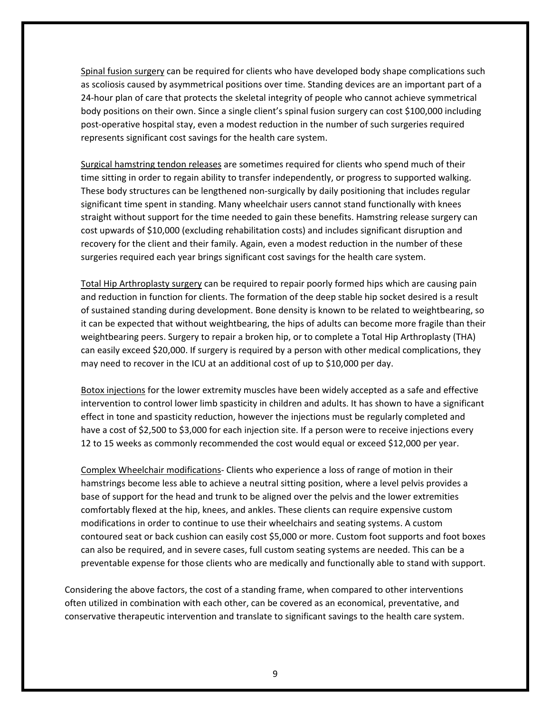Spinal fusion surgery can be required for clients who have developed body shape complications such as scoliosis caused by asymmetrical positions over time. Standing devices are an important part of a 24-hour plan of care that protects the skeletal integrity of people who cannot achieve symmetrical body positions on their own. Since a single client's spinal fusion surgery can cost \$100,000 including post-operative hospital stay, even a modest reduction in the number of such surgeries required represents significant cost savings for the health care system.

Surgical hamstring tendon releases are sometimes required for clients who spend much of their time sitting in order to regain ability to transfer independently, or progress to supported walking. These body structures can be lengthened non‐surgically by daily positioning that includes regular significant time spent in standing. Many wheelchair users cannot stand functionally with knees straight without support for the time needed to gain these benefits. Hamstring release surgery can cost upwards of \$10,000 (excluding rehabilitation costs) and includes significant disruption and recovery for the client and their family. Again, even a modest reduction in the number of these surgeries required each year brings significant cost savings for the health care system.

Total Hip Arthroplasty surgery can be required to repair poorly formed hips which are causing pain and reduction in function for clients. The formation of the deep stable hip socket desired is a result of sustained standing during development. Bone density is known to be related to weightbearing, so it can be expected that without weightbearing, the hips of adults can become more fragile than their weightbearing peers. Surgery to repair a broken hip, or to complete a Total Hip Arthroplasty (THA) can easily exceed \$20,000. If surgery is required by a person with other medical complications, they may need to recover in the ICU at an additional cost of up to \$10,000 per day.

Botox injections for the lower extremity muscles have been widely accepted as a safe and effective intervention to control lower limb spasticity in children and adults. It has shown to have a significant effect in tone and spasticity reduction, however the injections must be regularly completed and have a cost of \$2,500 to \$3,000 for each injection site. If a person were to receive injections every 12 to 15 weeks as commonly recommended the cost would equal or exceed \$12,000 per year.

Complex Wheelchair modifications- Clients who experience a loss of range of motion in their hamstrings become less able to achieve a neutral sitting position, where a level pelvis provides a base of support for the head and trunk to be aligned over the pelvis and the lower extremities comfortably flexed at the hip, knees, and ankles. These clients can require expensive custom modifications in order to continue to use their wheelchairs and seating systems. A custom contoured seat or back cushion can easily cost \$5,000 or more. Custom foot supports and foot boxes can also be required, and in severe cases, full custom seating systems are needed. This can be a preventable expense for those clients who are medically and functionally able to stand with support.

Considering the above factors, the cost of a standing frame, when compared to other interventions often utilized in combination with each other, can be covered as an economical, preventative, and conservative therapeutic intervention and translate to significant savings to the health care system.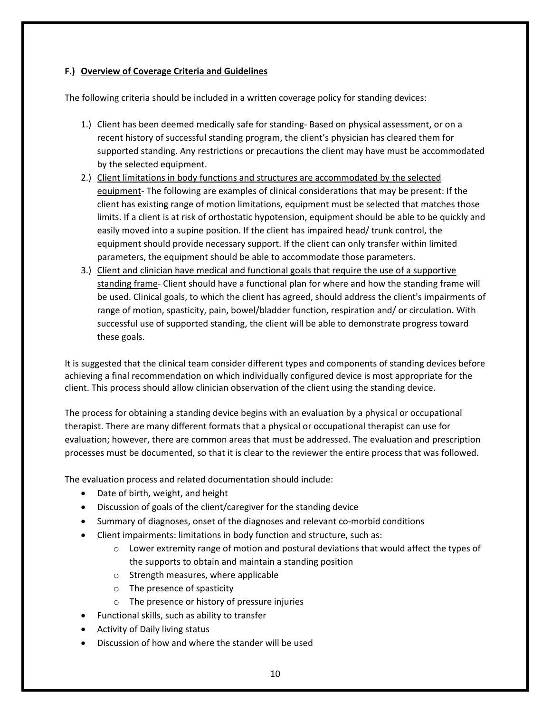## **F.) Overview of Coverage Criteria and Guidelines**

The following criteria should be included in a written coverage policy for standing devices:

- 1.) Client has been deemed medically safe for standing- Based on physical assessment, or on a recent history of successful standing program, the client's physician has cleared them for supported standing. Any restrictions or precautions the client may have must be accommodated by the selected equipment.
- 2.) Client limitations in body functions and structures are accommodated by the selected equipment‐ The following are examples of clinical considerations that may be present: If the client has existing range of motion limitations, equipment must be selected that matches those limits. If a client is at risk of orthostatic hypotension, equipment should be able to be quickly and easily moved into a supine position. If the client has impaired head/ trunk control, the equipment should provide necessary support. If the client can only transfer within limited parameters, the equipment should be able to accommodate those parameters.
- 3.) Client and clinician have medical and functional goals that require the use of a supportive standing frame‐ Client should have a functional plan for where and how the standing frame will be used. Clinical goals, to which the client has agreed, should address the client's impairments of range of motion, spasticity, pain, bowel/bladder function, respiration and/ or circulation. With successful use of supported standing, the client will be able to demonstrate progress toward these goals.

It is suggested that the clinical team consider different types and components of standing devices before achieving a final recommendation on which individually configured device is most appropriate for the client. This process should allow clinician observation of the client using the standing device.

The process for obtaining a standing device begins with an evaluation by a physical or occupational therapist. There are many different formats that a physical or occupational therapist can use for evaluation; however, there are common areas that must be addressed. The evaluation and prescription processes must be documented, so that it is clear to the reviewer the entire process that was followed.

The evaluation process and related documentation should include:

- Date of birth, weight, and height
- Discussion of goals of the client/caregiver for the standing device
- Summary of diagnoses, onset of the diagnoses and relevant co-morbid conditions
- Client impairments: limitations in body function and structure, such as:
	- $\circ$  Lower extremity range of motion and postural deviations that would affect the types of the supports to obtain and maintain a standing position
	- o Strength measures, where applicable
	- o The presence of spasticity
	- o The presence or history of pressure injuries
- Functional skills, such as ability to transfer
- Activity of Daily living status
- Discussion of how and where the stander will be used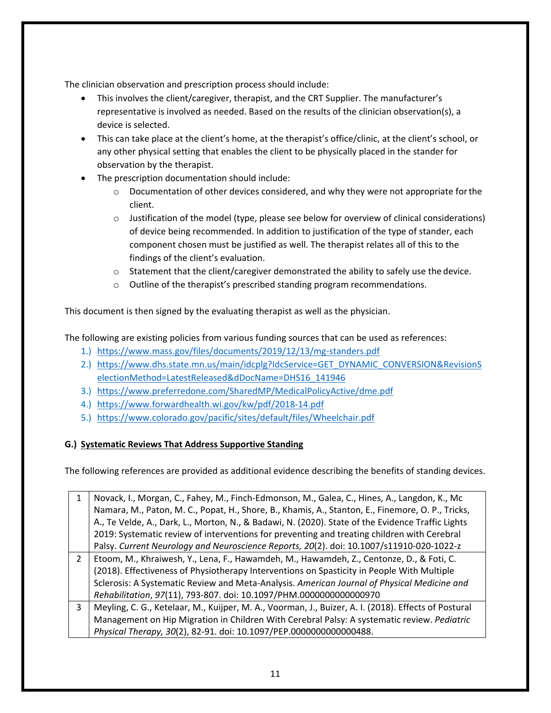The clinician observation and prescription process should include:

- This involves the client/caregiver, therapist, and the CRT Supplier. The manufacturer's representative is involved as needed. Based on the results of the clinician observation(s), a device is selected.
- This can take place at the client's home, at the therapist's office/clinic, at the client's school, or any other physical setting that enables the client to be physically placed in the stander for observation by the therapist.
- The prescription documentation should include:
	- $\circ$  Documentation of other devices considered, and why they were not appropriate for the client.
	- o Justification of the model (type, please see below for overview of clinical considerations) of device being recommended. In addition to justification of the type of stander, each component chosen must be justified as well. The therapist relates all of this to the findings of the client's evaluation.
	- $\circ$  Statement that the client/caregiver demonstrated the ability to safely use the device.
	- o Outline of the therapist's prescribed standing program recommendations.

This document is then signed by the evaluating therapist as well as the physician.

The following are existing policies from various funding sources that can be used as references:

- 1.) https://www.mass.gov/files/documents/2019/12/13/mg-standers.pdf
- 2.) https://www.dhs.state.mn.us/main/idcplg?IdcService=GET\_DYNAMIC\_CONVERSION&RevisionS electionMethod=LatestReleased&dDocName=DHS16\_141946
- 3.) https://www.preferredone.com/SharedMP/MedicalPolicyActive/dme.pdf
- 4.) https://www.forwardhealth.wi.gov/kw/pdf/2018‐14.pdf
- 5.) https://www.colorado.gov/pacific/sites/default/files/Wheelchair.pdf

# **G.) Systematic Reviews That Address Supportive Standing**

The following references are provided as additional evidence describing the benefits of standing devices.

|               | Novack, I., Morgan, C., Fahey, M., Finch-Edmonson, M., Galea, C., Hines, A., Langdon, K., Mc         |
|---------------|------------------------------------------------------------------------------------------------------|
|               | Namara, M., Paton, M. C., Popat, H., Shore, B., Khamis, A., Stanton, E., Finemore, O. P., Tricks,    |
|               | A., Te Velde, A., Dark, L., Morton, N., & Badawi, N. (2020). State of the Evidence Traffic Lights    |
|               | 2019: Systematic review of interventions for preventing and treating children with Cerebral          |
|               | Palsy. Current Neurology and Neuroscience Reports, 20(2). doi: 10.1007/s11910-020-1022-z             |
| $\mathcal{L}$ | Etoom, M., Khraiwesh, Y., Lena, F., Hawamdeh, M., Hawamdeh, Z., Centonze, D., & Foti, C.             |
|               | (2018). Effectiveness of Physiotherapy Interventions on Spasticity in People With Multiple           |
|               | Sclerosis: A Systematic Review and Meta-Analysis. American Journal of Physical Medicine and          |
|               | Rehabilitation, 97(11), 793-807. doi: 10.1097/PHM.0000000000000970                                   |
| 3             | Meyling, C. G., Ketelaar, M., Kuijper, M. A., Voorman, J., Buizer, A. I. (2018). Effects of Postural |
|               | Management on Hip Migration in Children With Cerebral Palsy: A systematic review. Pediatric          |
|               | Physical Therapy, 30(2), 82-91. doi: 10.1097/PEP.0000000000000488.                                   |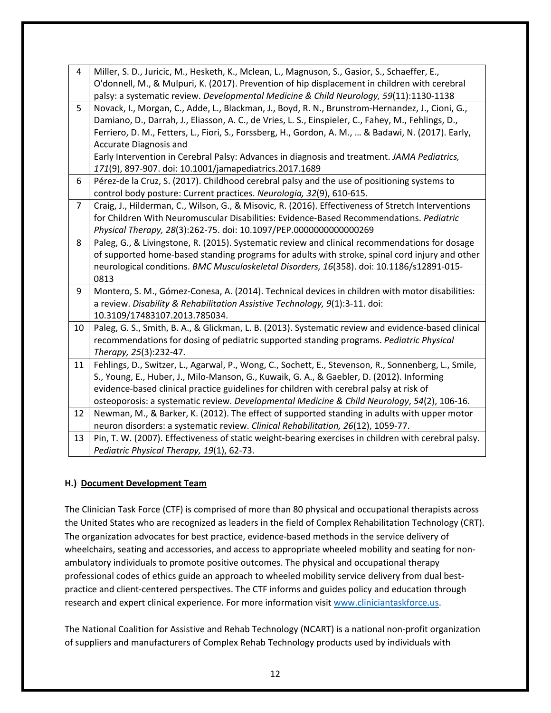| 4  | Miller, S. D., Juricic, M., Hesketh, K., Mclean, L., Magnuson, S., Gasior, S., Schaeffer, E.,<br>O'donnell, M., & Mulpuri, K. (2017). Prevention of hip displacement in children with cerebral<br>palsy: a systematic review. Developmental Medicine & Child Neurology, 59(11):1130-1138                                                                                                                                                                                                          |
|----|---------------------------------------------------------------------------------------------------------------------------------------------------------------------------------------------------------------------------------------------------------------------------------------------------------------------------------------------------------------------------------------------------------------------------------------------------------------------------------------------------|
| 5  | Novack, I., Morgan, C., Adde, L., Blackman, J., Boyd, R. N., Brunstrom-Hernandez, J., Cioni, G.,<br>Damiano, D., Darrah, J., Eliasson, A. C., de Vries, L. S., Einspieler, C., Fahey, M., Fehlings, D.,<br>Ferriero, D. M., Fetters, L., Fiori, S., Forssberg, H., Gordon, A. M.,  & Badawi, N. (2017). Early,<br>Accurate Diagnosis and<br>Early Intervention in Cerebral Palsy: Advances in diagnosis and treatment. JAMA Pediatrics,<br>171(9), 897-907. doi: 10.1001/jamapediatrics.2017.1689 |
| 6  | Pérez-de la Cruz, S. (2017). Childhood cerebral palsy and the use of positioning systems to<br>control body posture: Current practices. Neurologia, 32(9), 610-615.                                                                                                                                                                                                                                                                                                                               |
| 7  | Craig, J., Hilderman, C., Wilson, G., & Misovic, R. (2016). Effectiveness of Stretch Interventions<br>for Children With Neuromuscular Disabilities: Evidence-Based Recommendations. Pediatric<br>Physical Therapy, 28(3):262-75. doi: 10.1097/PEP.0000000000000269                                                                                                                                                                                                                                |
| 8  | Paleg, G., & Livingstone, R. (2015). Systematic review and clinical recommendations for dosage<br>of supported home-based standing programs for adults with stroke, spinal cord injury and other<br>neurological conditions. BMC Musculoskeletal Disorders, 16(358). doi: 10.1186/s12891-015-<br>0813                                                                                                                                                                                             |
| 9  | Montero, S. M., Gómez-Conesa, A. (2014). Technical devices in children with motor disabilities:<br>a review. Disability & Rehabilitation Assistive Technology, 9(1):3-11. doi:<br>10.3109/17483107.2013.785034.                                                                                                                                                                                                                                                                                   |
| 10 | Paleg, G. S., Smith, B. A., & Glickman, L. B. (2013). Systematic review and evidence-based clinical<br>recommendations for dosing of pediatric supported standing programs. Pediatric Physical<br>Therapy, 25(3):232-47.                                                                                                                                                                                                                                                                          |
| 11 | Fehlings, D., Switzer, L., Agarwal, P., Wong, C., Sochett, E., Stevenson, R., Sonnenberg, L., Smile,<br>S., Young, E., Huber, J., Milo-Manson, G., Kuwaik, G. A., & Gaebler, D. (2012). Informing<br>evidence-based clinical practice guidelines for children with cerebral palsy at risk of<br>osteoporosis: a systematic review. Developmental Medicine & Child Neurology, 54(2), 106-16.                                                                                                       |
| 12 | Newman, M., & Barker, K. (2012). The effect of supported standing in adults with upper motor<br>neuron disorders: a systematic review. Clinical Rehabilitation, 26(12), 1059-77.                                                                                                                                                                                                                                                                                                                  |
| 13 | Pin, T. W. (2007). Effectiveness of static weight-bearing exercises in children with cerebral palsy.<br>Pediatric Physical Therapy, 19(1), 62-73.                                                                                                                                                                                                                                                                                                                                                 |

## **H.) Document Development Team**

The Clinician Task Force (CTF) is comprised of more than 80 physical and occupational therapists across the United States who are recognized as leaders in the field of Complex Rehabilitation Technology (CRT). The organization advocates for best practice, evidence‐based methods in the service delivery of wheelchairs, seating and accessories, and access to appropriate wheeled mobility and seating for nonambulatory individuals to promote positive outcomes. The physical and occupational therapy professional codes of ethics guide an approach to wheeled mobility service delivery from dual bestpractice and client‐centered perspectives. The CTF informs and guides policy and education through research and expert clinical experience. For more information visit www.cliniciantaskforce.us.

The National Coalition for Assistive and Rehab Technology (NCART) is a national non‐profit organization of suppliers and manufacturers of Complex Rehab Technology products used by individuals with